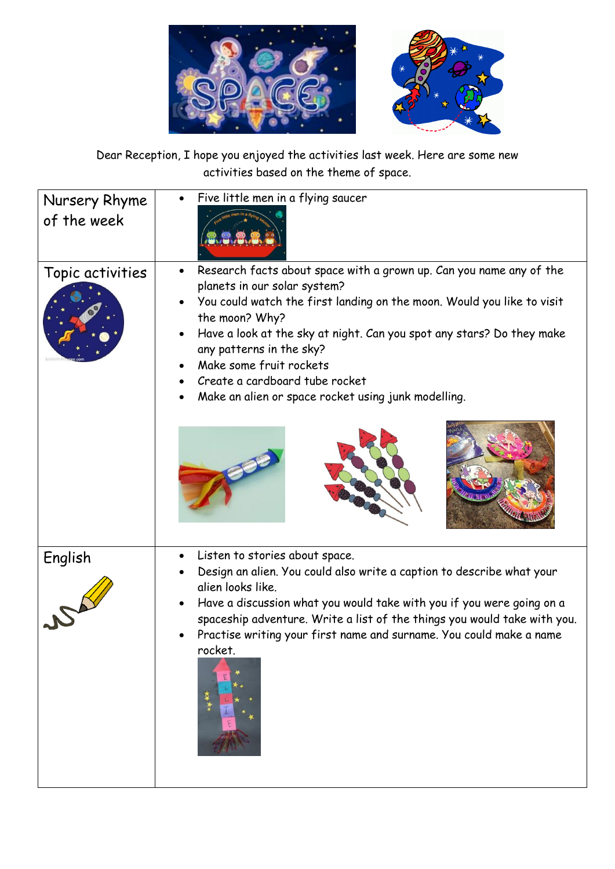

Dear Reception, I hope you enjoyed the activities last week. Here are some new activities based on the theme of space.

| Nursery Rhyme<br>of the week | Five little men in a flying saucer                                                                                                                                                                                                                                                                                                                                                                                       |
|------------------------------|--------------------------------------------------------------------------------------------------------------------------------------------------------------------------------------------------------------------------------------------------------------------------------------------------------------------------------------------------------------------------------------------------------------------------|
| Topic activities             | Research facts about space with a grown up. Can you name any of the<br>planets in our solar system?<br>You could watch the first landing on the moon. Would you like to visit<br>the moon? Why?<br>Have a look at the sky at night. Can you spot any stars? Do they make<br>any patterns in the sky?<br>Make some fruit rockets<br>Create a cardboard tube rocket<br>Make an alien or space rocket using junk modelling. |
| English                      | Listen to stories about space.<br>Design an alien. You could also write a caption to describe what your<br>alien looks like.<br>Have a discussion what you would take with you if you were going on a<br>spaceship adventure. Write a list of the things you would take with you.<br>Practise writing your first name and surname. You could make a name<br>rocket.                                                      |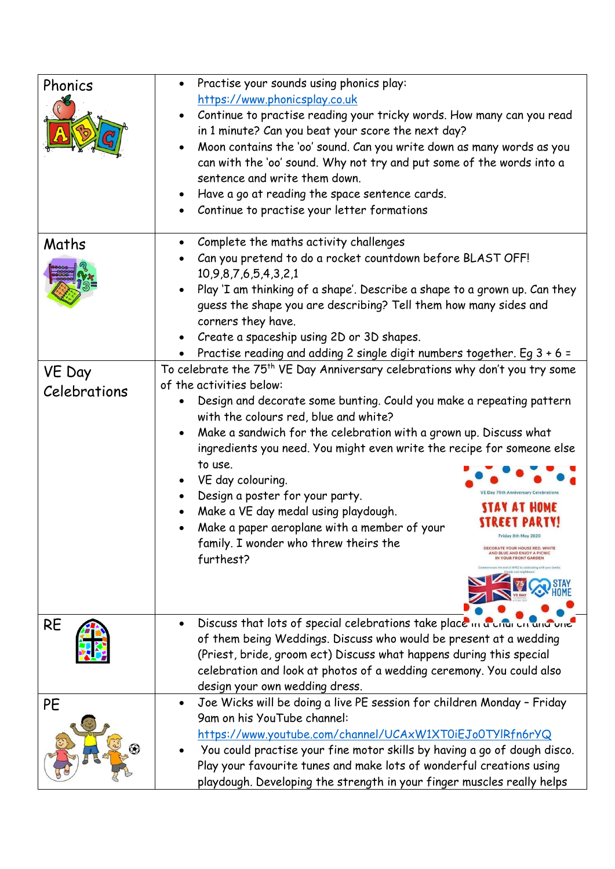| Phonics                | Practise your sounds using phonics play:<br>https://www.phonicsplay.co.uk<br>Continue to practise reading your tricky words. How many can you read<br>in 1 minute? Can you beat your score the next day?<br>Moon contains the 'oo' sound. Can you write down as many words as you<br>can with the 'oo' sound. Why not try and put some of the words into a<br>sentence and write them down.<br>Have a go at reading the space sentence cards.<br>Continue to practise your letter formations                                                                                                                                                                                                                                                                                                   |
|------------------------|------------------------------------------------------------------------------------------------------------------------------------------------------------------------------------------------------------------------------------------------------------------------------------------------------------------------------------------------------------------------------------------------------------------------------------------------------------------------------------------------------------------------------------------------------------------------------------------------------------------------------------------------------------------------------------------------------------------------------------------------------------------------------------------------|
| Maths                  | Complete the maths activity challenges<br>Can you pretend to do a rocket countdown before BLAST OFF!<br>10,9,8,7,6,5,4,3,2,1<br>Play 'I am thinking of a shape'. Describe a shape to a grown up. Can they<br>guess the shape you are describing? Tell them how many sides and<br>corners they have.<br>Create a spaceship using 2D or 3D shapes.<br>Practise reading and adding 2 single digit numbers together. Eg 3 + 6 =                                                                                                                                                                                                                                                                                                                                                                    |
| VE Day<br>Celebrations | To celebrate the 75 <sup>th</sup> VE Day Anniversary celebrations why don't you try some<br>of the activities below:<br>Design and decorate some bunting. Could you make a repeating pattern<br>with the colours red, blue and white?<br>Make a sandwich for the celebration with a grown up. Discuss what<br>ingredients you need. You might even write the recipe for someone else<br>to use.<br>VE day colouring.<br>$\bullet$<br>VE Day 75th Anniversary Celebrat<br>Design a poster for your party.<br>Make a VE day medal using playdough.<br>Make a paper aeroplane with a member of your<br>Friday 8th May 2020<br>family. I wonder who threw theirs the<br><b>DECORATE YOUR HOUSE RED. WHITE</b><br>ND BLUE AND ENJOY A PICNIC<br>furthest?<br><b><i><u>YOUR FRONT GARDEI</u></i></b> |
| <b>RE</b>              | Discuss that lots of special celebrations take place in a critic on and one<br>of them being Weddings. Discuss who would be present at a wedding<br>(Priest, bride, groom ect) Discuss what happens during this special<br>celebration and look at photos of a wedding ceremony. You could also<br>design your own wedding dress.                                                                                                                                                                                                                                                                                                                                                                                                                                                              |
| PE                     | Joe Wicks will be doing a live PE session for children Monday - Friday<br>$\bullet$<br>9am on his YouTube channel:<br>https://www.youtube.com/channel/UCAxW1XT0iEJo0TYlRfn6rYQ<br>You could practise your fine motor skills by having a go of dough disco.<br>Play your favourite tunes and make lots of wonderful creations using<br>playdough. Developing the strength in your finger muscles really helps                                                                                                                                                                                                                                                                                                                                                                                   |